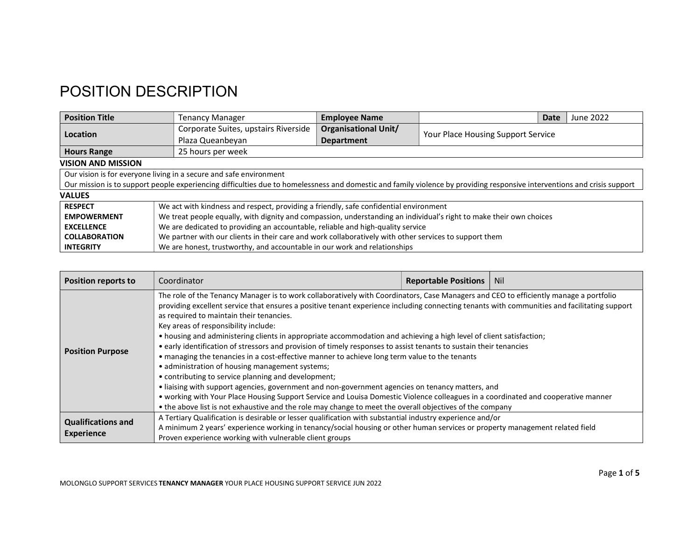## POSITION DESCRIPTION

| <b>Position Title</b>     | Tenancy Manager                                                                                                                                                          | <b>Employee Name</b>        |                                    | Date | June 2022 |
|---------------------------|--------------------------------------------------------------------------------------------------------------------------------------------------------------------------|-----------------------------|------------------------------------|------|-----------|
|                           | Corporate Suites, upstairs Riverside                                                                                                                                     | <b>Organisational Unit/</b> | Your Place Housing Support Service |      |           |
| Location                  | Plaza Queanbeyan                                                                                                                                                         | Department                  |                                    |      |           |
| <b>Hours Range</b>        | 25 hours per week                                                                                                                                                        |                             |                                    |      |           |
| <b>VISION AND MISSION</b> |                                                                                                                                                                          |                             |                                    |      |           |
|                           | Our vision is for everyone living in a secure and safe environment                                                                                                       |                             |                                    |      |           |
|                           | Our mission is to support people experiencing difficulties due to homelessness and domestic and family violence by providing responsive interventions and crisis support |                             |                                    |      |           |
| <b>VALUES</b>             |                                                                                                                                                                          |                             |                                    |      |           |
| <b>RESPECT</b>            | We act with kindness and respect, providing a friendly, safe confidential environment                                                                                    |                             |                                    |      |           |
| <b>EMPOWERMENT</b>        | We treat people equally, with dignity and compassion, understanding an individual's right to make their own choices                                                      |                             |                                    |      |           |
| <b>EXCELLENCE</b>         | We are dedicated to providing an accountable, reliable and high-quality service                                                                                          |                             |                                    |      |           |
| <b>COLLABORATION</b>      | We partner with our clients in their care and work collaboratively with other services to support them                                                                   |                             |                                    |      |           |
| <b>INTEGRITY</b>          | We are honest, trustworthy, and accountable in our work and relationships                                                                                                |                             |                                    |      |           |

| <b>Position reports to</b>                     | Coordinator                                                                                                                                                                                                                                                                                                                                                                                                                                                                                                                                                                                                                                                                                                                                                                                                                                                                                                                                                                                                                                                                                                                                                                            | <b>Reportable Positions</b> | <b>Nil</b> |
|------------------------------------------------|----------------------------------------------------------------------------------------------------------------------------------------------------------------------------------------------------------------------------------------------------------------------------------------------------------------------------------------------------------------------------------------------------------------------------------------------------------------------------------------------------------------------------------------------------------------------------------------------------------------------------------------------------------------------------------------------------------------------------------------------------------------------------------------------------------------------------------------------------------------------------------------------------------------------------------------------------------------------------------------------------------------------------------------------------------------------------------------------------------------------------------------------------------------------------------------|-----------------------------|------------|
| <b>Position Purpose</b>                        | The role of the Tenancy Manager is to work collaboratively with Coordinators, Case Managers and CEO to efficiently manage a portfolio<br>providing excellent service that ensures a positive tenant experience including connecting tenants with communities and facilitating support<br>as required to maintain their tenancies.<br>Key areas of responsibility include:<br>• housing and administering clients in appropriate accommodation and achieving a high level of client satisfaction;<br>• early identification of stressors and provision of timely responses to assist tenants to sustain their tenancies<br>• managing the tenancies in a cost-effective manner to achieve long term value to the tenants<br>• administration of housing management systems;<br>• contributing to service planning and development;<br>· liaising with support agencies, government and non-government agencies on tenancy matters, and<br>• working with Your Place Housing Support Service and Louisa Domestic Violence colleagues in a coordinated and cooperative manner<br>• the above list is not exhaustive and the role may change to meet the overall objectives of the company |                             |            |
| <b>Qualifications and</b><br><b>Experience</b> | A Tertiary Qualification is desirable or lesser qualification with substantial industry experience and/or<br>A minimum 2 years' experience working in tenancy/social housing or other human services or property management related field<br>Proven experience working with vulnerable client groups                                                                                                                                                                                                                                                                                                                                                                                                                                                                                                                                                                                                                                                                                                                                                                                                                                                                                   |                             |            |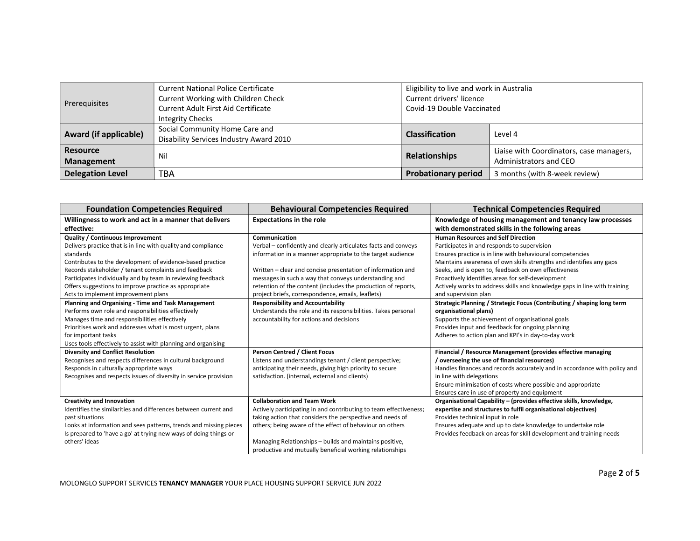| Prerequisites                        | <b>Current National Police Certificate</b><br>Current Working with Children Check<br>Current Adult First Aid Certificate<br>Integrity Checks | Eligibility to live and work in Australia<br>Current drivers' licence<br>Covid-19 Double Vaccinated |                                                                    |  |
|--------------------------------------|----------------------------------------------------------------------------------------------------------------------------------------------|-----------------------------------------------------------------------------------------------------|--------------------------------------------------------------------|--|
| Award (if applicable)                | Social Community Home Care and<br>Disability Services Industry Award 2010                                                                    | <b>Classification</b>                                                                               | Level 4                                                            |  |
| <b>Resource</b><br><b>Management</b> | Nil                                                                                                                                          | <b>Relationships</b>                                                                                | Liaise with Coordinators, case managers,<br>Administrators and CEO |  |
| <b>Delegation Level</b>              | TBA                                                                                                                                          | <b>Probationary period</b><br>3 months (with 8-week review)                                         |                                                                    |  |

| <b>Foundation Competencies Required</b>                           | <b>Behavioural Competencies Required</b>                          | <b>Technical Competencies Required</b>                                    |
|-------------------------------------------------------------------|-------------------------------------------------------------------|---------------------------------------------------------------------------|
| Willingness to work and act in a manner that delivers             | <b>Expectations in the role</b>                                   | Knowledge of housing management and tenancy law processes                 |
| effective:                                                        |                                                                   | with demonstrated skills in the following areas                           |
| <b>Quality / Continuous Improvement</b>                           | Communication                                                     | <b>Human Resources and Self Direction</b>                                 |
| Delivers practice that is in line with quality and compliance     | Verbal - confidently and clearly articulates facts and conveys    | Participates in and responds to supervision                               |
| standards                                                         | information in a manner appropriate to the target audience        | Ensures practice is in line with behavioural competencies                 |
| Contributes to the development of evidence-based practice         |                                                                   | Maintains awareness of own skills strengths and identifies any gaps       |
| Records stakeholder / tenant complaints and feedback              | Written - clear and concise presentation of information and       | Seeks, and is open to, feedback on own effectiveness                      |
| Participates individually and by team in reviewing feedback       | messages in such a way that conveys understanding and             | Proactively identifies areas for self-development                         |
| Offers suggestions to improve practice as appropriate             | retention of the content (includes the production of reports,     | Actively works to address skills and knowledge gaps in line with training |
| Acts to implement improvement plans                               | project briefs, correspondence, emails, leaflets)                 | and supervision plan                                                      |
| Planning and Organising - Time and Task Management                | <b>Responsibility and Accountability</b>                          | Strategic Planning / Strategic Focus (Contributing / shaping long term    |
| Performs own role and responsibilities effectively                | Understands the role and its responsibilities. Takes personal     | organisational plans)                                                     |
| Manages time and responsibilities effectively                     | accountability for actions and decisions                          | Supports the achievement of organisational goals                          |
| Prioritises work and addresses what is most urgent, plans         |                                                                   | Provides input and feedback for ongoing planning                          |
| for important tasks                                               |                                                                   | Adheres to action plan and KPI's in day-to-day work                       |
| Uses tools effectively to assist with planning and organising     |                                                                   |                                                                           |
| <b>Diversity and Conflict Resolution</b>                          | <b>Person Centred / Client Focus</b>                              | Financial / Resource Management (provides effective managing              |
| Recognises and respects differences in cultural background        | Listens and understandings tenant / client perspective;           | / overseeing the use of financial resources)                              |
| Responds in culturally appropriate ways                           | anticipating their needs, giving high priority to secure          | Handles finances and records accurately and in accordance with policy and |
| Recognises and respects issues of diversity in service provision  | satisfaction. (internal, external and clients)                    | in line with delegations                                                  |
|                                                                   |                                                                   | Ensure minimisation of costs where possible and appropriate               |
|                                                                   |                                                                   | Ensures care in use of property and equipment                             |
| <b>Creativity and Innovation</b>                                  | <b>Collaboration and Team Work</b>                                | Organisational Capability - (provides effective skills, knowledge,        |
| Identifies the similarities and differences between current and   | Actively participating in and contributing to team effectiveness; | expertise and structures to fulfil organisational objectives)             |
| past situations                                                   | taking action that considers the perspective and needs of         | Provides technical input in role                                          |
| Looks at information and sees patterns, trends and missing pieces | others; being aware of the effect of behaviour on others          | Ensures adequate and up to date knowledge to undertake role               |
| Is prepared to 'have a go' at trying new ways of doing things or  |                                                                   | Provides feedback on areas for skill development and training needs       |
| others' ideas                                                     | Managing Relationships - builds and maintains positive,           |                                                                           |
|                                                                   | productive and mutually beneficial working relationships          |                                                                           |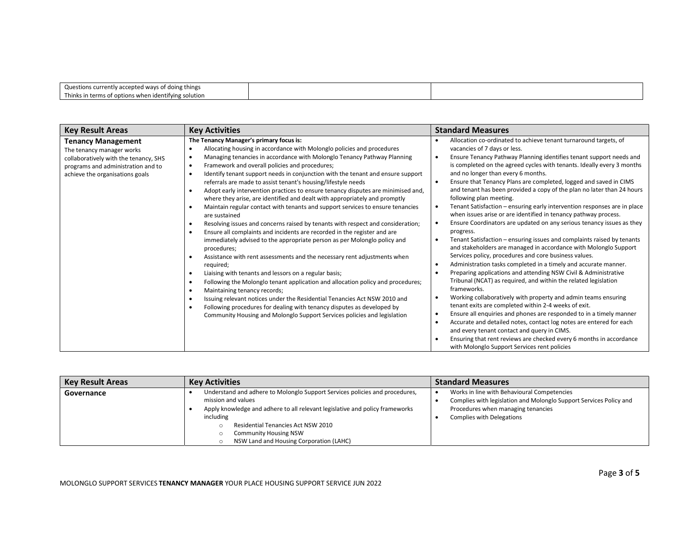| Questions currently accepted ways of doing things         |  |
|-----------------------------------------------------------|--|
| Thinks in terms of options when<br>i identifying solution |  |
|                                                           |  |

| <b>Key Result Areas</b>                                                                                                                                                  | <b>Key Activities</b>                                                                                                                                                                                                                                                                                                                                                                                                                                                                                                                                                                                                                                                                                                                                                                                                                                                                                                                                                                                                                                                                                                                                                                                                                                                                                                                                                                                                                                                                                                                                                                           | <b>Standard Measures</b>                                                                                                                                                                                                                                                                                                                                                                                                                                                                                                                                                                                                                                                                                                                                                                                                                                                                                                                                                                                                                                                                                                                                                                                                                                                                                                                                                                                                                                                                                                                                                                                           |
|--------------------------------------------------------------------------------------------------------------------------------------------------------------------------|-------------------------------------------------------------------------------------------------------------------------------------------------------------------------------------------------------------------------------------------------------------------------------------------------------------------------------------------------------------------------------------------------------------------------------------------------------------------------------------------------------------------------------------------------------------------------------------------------------------------------------------------------------------------------------------------------------------------------------------------------------------------------------------------------------------------------------------------------------------------------------------------------------------------------------------------------------------------------------------------------------------------------------------------------------------------------------------------------------------------------------------------------------------------------------------------------------------------------------------------------------------------------------------------------------------------------------------------------------------------------------------------------------------------------------------------------------------------------------------------------------------------------------------------------------------------------------------------------|--------------------------------------------------------------------------------------------------------------------------------------------------------------------------------------------------------------------------------------------------------------------------------------------------------------------------------------------------------------------------------------------------------------------------------------------------------------------------------------------------------------------------------------------------------------------------------------------------------------------------------------------------------------------------------------------------------------------------------------------------------------------------------------------------------------------------------------------------------------------------------------------------------------------------------------------------------------------------------------------------------------------------------------------------------------------------------------------------------------------------------------------------------------------------------------------------------------------------------------------------------------------------------------------------------------------------------------------------------------------------------------------------------------------------------------------------------------------------------------------------------------------------------------------------------------------------------------------------------------------|
| <b>Tenancy Management</b><br>The tenancy manager works<br>collaboratively with the tenancy, SHS<br>programs and administration and to<br>achieve the organisations goals | The Tenancy Manager's primary focus is:<br>Allocating housing in accordance with Molonglo policies and procedures<br>٠<br>Managing tenancies in accordance with Molonglo Tenancy Pathway Planning<br>$\bullet$<br>Framework and overall policies and procedures;<br>$\bullet$<br>Identify tenant support needs in conjunction with the tenant and ensure support<br>$\bullet$<br>referrals are made to assist tenant's housing/lifestyle needs<br>Adopt early intervention practices to ensure tenancy disputes are minimised and,<br>٠<br>where they arise, are identified and dealt with appropriately and promptly<br>Maintain regular contact with tenants and support services to ensure tenancies<br>$\bullet$<br>are sustained<br>Resolving issues and concerns raised by tenants with respect and consideration;<br>$\bullet$<br>Ensure all complaints and incidents are recorded in the register and are<br>$\bullet$<br>immediately advised to the appropriate person as per Molonglo policy and<br>procedures;<br>Assistance with rent assessments and the necessary rent adjustments when<br>$\bullet$<br>required;<br>Liaising with tenants and lessors on a regular basis;<br>$\bullet$<br>Following the Molonglo tenant application and allocation policy and procedures;<br>$\bullet$<br>Maintaining tenancy records;<br>٠<br>Issuing relevant notices under the Residential Tenancies Act NSW 2010 and<br>$\bullet$<br>Following procedures for dealing with tenancy disputes as developed by<br>٠<br>Community Housing and Molonglo Support Services policies and legislation | Allocation co-ordinated to achieve tenant turnaround targets, of<br>vacancies of 7 days or less.<br>Ensure Tenancy Pathway Planning identifies tenant support needs and<br>$\bullet$<br>is completed on the agreed cycles with tenants. Ideally every 3 months<br>and no longer than every 6 months.<br>Ensure that Tenancy Plans are completed, logged and saved in CIMS<br>$\bullet$<br>and tenant has been provided a copy of the plan no later than 24 hours<br>following plan meeting.<br>Tenant Satisfaction - ensuring early intervention responses are in place<br>٠<br>when issues arise or are identified in tenancy pathway process.<br>Ensure Coordinators are updated on any serious tenancy issues as they<br>progress.<br>Tenant Satisfaction - ensuring issues and complaints raised by tenants<br>and stakeholders are managed in accordance with Molonglo Support<br>Services policy, procedures and core business values.<br>Administration tasks completed in a timely and accurate manner.<br>Preparing applications and attending NSW Civil & Administrative<br>Tribunal (NCAT) as required, and within the related legislation<br>frameworks.<br>Working collaboratively with property and admin teams ensuring<br>tenant exits are completed within 2-4 weeks of exit.<br>Ensure all enquiries and phones are responded to in a timely manner<br>Accurate and detailed notes, contact log notes are entered for each<br>and every tenant contact and query in CIMS.<br>Ensuring that rent reviews are checked every 6 months in accordance<br>with Molonglo Support Services rent policies |

| <b>Key Result Areas</b> | <b>Key Activities</b>                                                                                                                                                             | <b>Standard Measures</b>                                                                                                                                |
|-------------------------|-----------------------------------------------------------------------------------------------------------------------------------------------------------------------------------|---------------------------------------------------------------------------------------------------------------------------------------------------------|
| Governance              | Understand and adhere to Molonglo Support Services policies and procedures,<br>mission and values<br>Apply knowledge and adhere to all relevant legislative and policy frameworks | Works in line with Behavioural Competencies<br>Complies with legislation and Molonglo Support Services Policy and<br>Procedures when managing tenancies |
|                         | including<br>Residential Tenancies Act NSW 2010<br><b>Community Housing NSW</b><br>NSW Land and Housing Corporation (LAHC)                                                        | <b>Complies with Delegations</b>                                                                                                                        |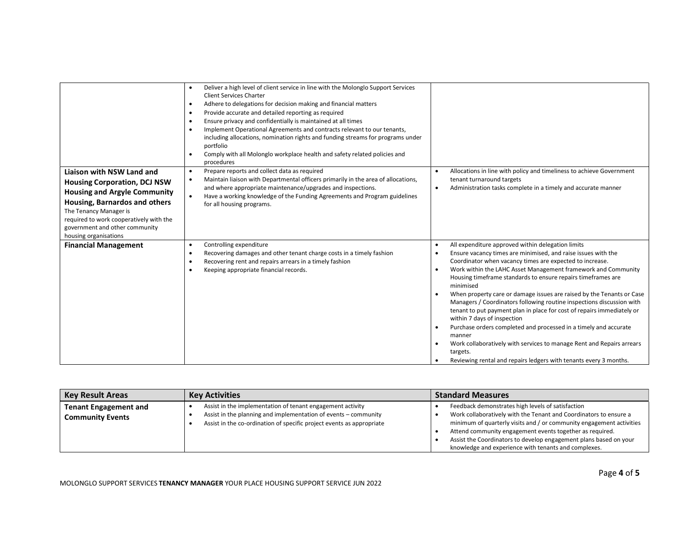| <b>Liaison with NSW Land and</b><br><b>Housing Corporation, DCJ NSW</b><br><b>Housing and Argyle Community</b><br>Housing, Barnardos and others<br>The Tenancy Manager is<br>required to work cooperatively with the<br>government and other community | Deliver a high level of client service in line with the Molonglo Support Services<br>$\bullet$<br><b>Client Services Charter</b><br>Adhere to delegations for decision making and financial matters<br>$\bullet$<br>Provide accurate and detailed reporting as required<br>$\bullet$<br>Ensure privacy and confidentially is maintained at all times<br>$\bullet$<br>Implement Operational Agreements and contracts relevant to our tenants,<br>$\bullet$<br>including allocations, nomination rights and funding streams for programs under<br>portfolio<br>Comply with all Molonglo workplace health and safety related policies and<br>$\bullet$<br>procedures<br>Prepare reports and collect data as required<br>$\bullet$<br>Maintain liaison with Departmental officers primarily in the area of allocations,<br>٠<br>and where appropriate maintenance/upgrades and inspections.<br>Have a working knowledge of the Funding Agreements and Program guidelines<br>$\bullet$<br>for all housing programs. | Allocations in line with policy and timeliness to achieve Government<br>$\bullet$<br>tenant turnaround targets<br>Administration tasks complete in a timely and accurate manner<br>$\bullet$                                                                                                                                                                                                                                                                                                                                                                                                                                                                                                                                                                                                                                                                                                     |
|--------------------------------------------------------------------------------------------------------------------------------------------------------------------------------------------------------------------------------------------------------|----------------------------------------------------------------------------------------------------------------------------------------------------------------------------------------------------------------------------------------------------------------------------------------------------------------------------------------------------------------------------------------------------------------------------------------------------------------------------------------------------------------------------------------------------------------------------------------------------------------------------------------------------------------------------------------------------------------------------------------------------------------------------------------------------------------------------------------------------------------------------------------------------------------------------------------------------------------------------------------------------------------|--------------------------------------------------------------------------------------------------------------------------------------------------------------------------------------------------------------------------------------------------------------------------------------------------------------------------------------------------------------------------------------------------------------------------------------------------------------------------------------------------------------------------------------------------------------------------------------------------------------------------------------------------------------------------------------------------------------------------------------------------------------------------------------------------------------------------------------------------------------------------------------------------|
| housing organisations<br><b>Financial Management</b>                                                                                                                                                                                                   | Controlling expenditure<br>٠<br>Recovering damages and other tenant charge costs in a timely fashion<br>$\bullet$<br>Recovering rent and repairs arrears in a timely fashion<br>$\bullet$<br>Keeping appropriate financial records.<br>٠                                                                                                                                                                                                                                                                                                                                                                                                                                                                                                                                                                                                                                                                                                                                                                       | All expenditure approved within delegation limits<br>Ensure vacancy times are minimised, and raise issues with the<br>$\bullet$<br>Coordinator when vacancy times are expected to increase.<br>Work within the LAHC Asset Management framework and Community<br>$\bullet$<br>Housing timeframe standards to ensure repairs timeframes are<br>minimised<br>When property care or damage issues are raised by the Tenants or Case<br>$\bullet$<br>Managers / Coordinators following routine inspections discussion with<br>tenant to put payment plan in place for cost of repairs immediately or<br>within 7 days of inspection<br>Purchase orders completed and processed in a timely and accurate<br>$\bullet$<br>manner<br>Work collaboratively with services to manage Rent and Repairs arrears<br>$\bullet$<br>targets.<br>Reviewing rental and repairs ledgers with tenants every 3 months. |

| <b>Key Result Areas</b>                                 | <b>Key Activities</b>                                                                                                                                                                                  | <b>Standard Measures</b>                                                                                                                                                                                                                                                                                                                                                                |
|---------------------------------------------------------|--------------------------------------------------------------------------------------------------------------------------------------------------------------------------------------------------------|-----------------------------------------------------------------------------------------------------------------------------------------------------------------------------------------------------------------------------------------------------------------------------------------------------------------------------------------------------------------------------------------|
| <b>Tenant Engagement and</b><br><b>Community Events</b> | Assist in the implementation of tenant engagement activity<br>Assist in the planning and implementation of events – community<br>Assist in the co-ordination of specific project events as appropriate | Feedback demonstrates high levels of satisfaction<br>Work collaboratively with the Tenant and Coordinators to ensure a<br>minimum of quarterly visits and / or community engagement activities<br>Attend community engagement events together as required.<br>Assist the Coordinators to develop engagement plans based on your<br>knowledge and experience with tenants and complexes. |